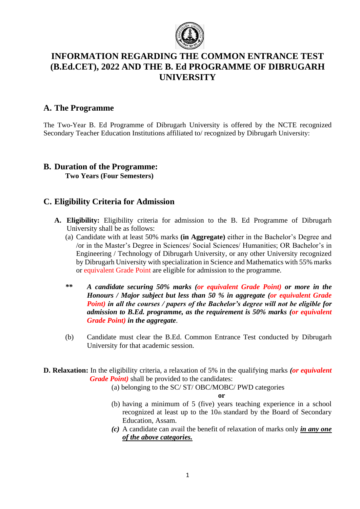

# **INFORMATION REGARDING THE COMMON ENTRANCE TEST (B.Ed.CET), 2022 AND THE B. Ed PROGRAMME OF DIBRUGARH UNIVERSITY**

## **A. The Programme**

The Two-Year B. Ed Programme of Dibrugarh University is offered by the NCTE recognized Secondary Teacher Education Institutions affiliated to/ recognized by Dibrugarh University:

### **B. Duration of the Programme: Two Years (Four Semesters)**

## **C. Eligibility Criteria for Admission**

- **A. Eligibility:** Eligibility criteria for admission to the B. Ed Programme of Dibrugarh University shall be as follows:
	- (a) Candidate with at least 50% marks **(in Aggregate)** either in the Bachelor's Degree and /or in the Master's Degree in Sciences/ Social Sciences/ Humanities; OR Bachelor's in Engineering / Technology of Dibrugarh University, or any other University recognized by Dibrugarh University with specialization in Science and Mathematics with 55% marks or equivalent Grade Point are eligible for admission to the programme.
	- *\*\* A candidate securing 50% marks (or equivalent Grade Point) or more in the Honours / Major subject but less than 50 % in aggregate (or equivalent Grade Point) in all the courses / papers of the Bachelor's degree will not be eligible for admission to B.Ed. programme, as the requirement is 50% marks (or equivalent Grade Point) in the aggregate*.
	- (b) Candidate must clear the B.Ed. Common Entrance Test conducted by Dibrugarh University for that academic session.
- **D. Relaxation:** In the eligibility criteria, a relaxation of 5% in the qualifying marks *(or equivalent Grade Point)* shall be provided to the candidates:
	- (a) belonging to the SC/ ST/ OBC/MOBC/ PWD categories

**or**

- (b) having a minimum of 5 (five) years teaching experience in a school recognized at least up to the 10th standard by the Board of Secondary Education, Assam.
- *(c)* A candidate can avail the benefit of relaxation of marks only *in any one of the above categories.*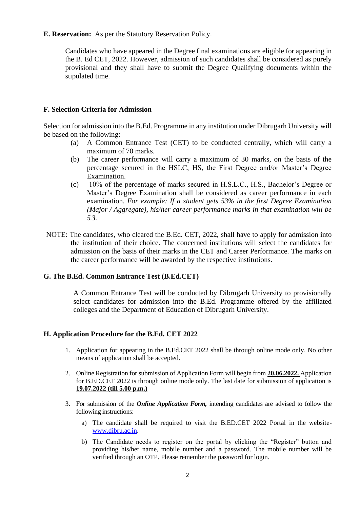#### **E. Reservation:** As per the Statutory Reservation Policy.

Candidates who have appeared in the Degree final examinations are eligible for appearing in the B. Ed CET, 2022. However, admission of such candidates shall be considered as purely provisional and they shall have to submit the Degree Qualifying documents within the stipulated time.

#### **F. Selection Criteria for Admission**

Selection for admission into the B.Ed. Programme in any institution under Dibrugarh University will be based on the following:

- (a) A Common Entrance Test (CET) to be conducted centrally, which will carry a maximum of 70 marks.
- (b) The career performance will carry a maximum of 30 marks, on the basis of the percentage secured in the HSLC, HS, the First Degree and/or Master's Degree Examination.
- (c) 10% of the percentage of marks secured in H.S.L.C., H.S., Bachelor's Degree or Master's Degree Examination shall be considered as career performance in each examination. *For example: If a student gets 53% in the first Degree Examination (Major / Aggregate), his/her career performance marks in that examination will be 5.3.*
- NOTE: The candidates, who cleared the B.Ed. CET, 2022, shall have to apply for admission into the institution of their choice. The concerned institutions will select the candidates for admission on the basis of their marks in the CET and Career Performance. The marks on the career performance will be awarded by the respective institutions.

### **G. The B.Ed. Common Entrance Test (B.Ed.CET)**

A Common Entrance Test will be conducted by Dibrugarh University to provisionally select candidates for admission into the B.Ed. Programme offered by the affiliated colleges and the Department of Education of Dibrugarh University.

### **H. Application Procedure for the B.Ed. CET 2022**

- 1. Application for appearing in the B.Ed.CET 2022 shall be through online mode only. No other means of application shall be accepted.
- 2. Online Registration for submission of Application Form will begin from **20.06.2022.** Application for B.ED.CET 2022 is through online mode only. The last date for submission of application is **19.07.2022 (till 5.00 p.m.)**
- 3. For submission of the *Online Application Form,* intending candidates are advised to follow the following instructions:
	- a) The candidate shall be required to visit the B.ED.CET 2022 Portal in the website[www.dibru.ac.in.](http://www.dibru.ac.in/)
	- b) The Candidate needs to register on the portal by clicking the "Register" button and providing his/her name, mobile number and a password. The mobile number will be verified through an OTP. Please remember the password for login.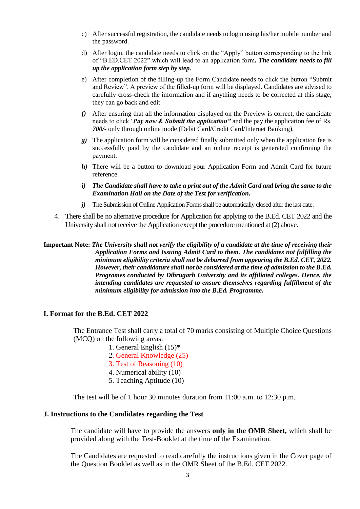- c) After successful registration, the candidate needs to login using his/her mobile number and the password.
- d) After login, the candidate needs to click on the "Apply" button corresponding to the link of "B.ED.CET 2022" which will lead to an application form*. The candidate needs to fill up the application form step by step.*
- e) After completion of the filling-up the Form Candidate needs to click the button "Submit and Review". A preview of the filled-up form will be displayed. Candidates are advised to carefully cross-check the information and if anything needs to be corrected at this stage, they can go back and edit
- *f)* After ensuring that all the information displayed on the Preview is correct, the candidate needs to click '*Pay now & Submit the application"* and the pay the application fee of Rs. *700/-* only through online mode (Debit Card/Credit Card/Internet Banking).
- *g)* The application form will be considered finally submitted only when the application fee is successfully paid by the candidate and an online receipt is generated confirming the payment.
- *h*) There will be a button to download your Application Form and Admit Card for future reference.
- *i) The Candidate shall have to take a print out of the Admit Card and bring the same to the Examination Hall on the Date of the Test for verification.*
- *j*) The Submission of Online Application Forms shall be automatically closed after the last date.
- 4. There shall be no alternative procedure for Application for applying to the B.Ed. CET 2022 and the University shall not receive the Application except the procedure mentioned at (2) above.

**Important Note:** *The University shall not verify the eligibility of a candidate at the time of receiving their Application Forms and Issuing Admit Card to them. The candidates not fulfilling the minimum eligibility criteria shall not be debarred from appearing the B.Ed. CET, 2022. However, their candidature shall not be considered at the time of admission to the B.Ed. Programes conducted by Dibrugarh University and its affiliated colleges. Hence, the intending candidates are requested to ensure themselves regarding fulfillment of the minimum eligibility for admission into the B.Ed. Programme.* 

#### **I. Format for the B.Ed. CET 2022**

The Entrance Test shall carry a total of 70 marks consisting of Multiple Choice Questions (MCQ) on the following areas:

- 1. General English (15)\*
- 2. General Knowledge (25)
- 3. Test of Reasoning (10)
- 4. Numerical ability (10)
- 5. Teaching Aptitude (10)

The test will be of 1 hour 30 minutes duration from 11:00 a.m. to 12:30 p.m.

#### **J. Instructions to the Candidates regarding the Test**

The candidate will have to provide the answers **only in the OMR Sheet,** which shall be provided along with the Test-Booklet at the time of the Examination.

The Candidates are requested to read carefully the instructions given in the Cover page of the Question Booklet as well as in the OMR Sheet of the B.Ed. CET 2022.